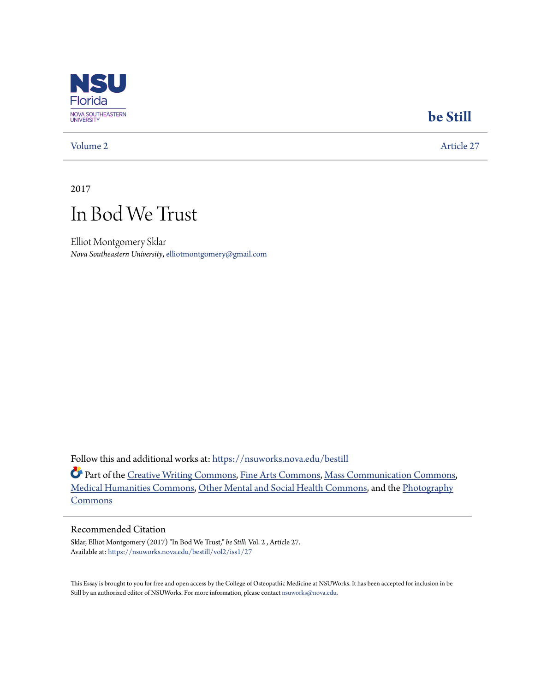

### **[be Still](https://nsuworks.nova.edu/bestill?utm_source=nsuworks.nova.edu%2Fbestill%2Fvol2%2Fiss1%2F27&utm_medium=PDF&utm_campaign=PDFCoverPages)**

[Volume 2](https://nsuworks.nova.edu/bestill/vol2?utm_source=nsuworks.nova.edu%2Fbestill%2Fvol2%2Fiss1%2F27&utm_medium=PDF&utm_campaign=PDFCoverPages) [Article 27](https://nsuworks.nova.edu/bestill/vol2/iss1/27?utm_source=nsuworks.nova.edu%2Fbestill%2Fvol2%2Fiss1%2F27&utm_medium=PDF&utm_campaign=PDFCoverPages)

2017

## In Bod We Trust

Elliot Montgomery Sklar *Nova Southeastern University*, elliotmontgomery@gmail.com

Follow this and additional works at: [https://nsuworks.nova.edu/bestill](https://nsuworks.nova.edu/bestill?utm_source=nsuworks.nova.edu%2Fbestill%2Fvol2%2Fiss1%2F27&utm_medium=PDF&utm_campaign=PDFCoverPages)

Part of the [Creative Writing Commons](http://network.bepress.com/hgg/discipline/574?utm_source=nsuworks.nova.edu%2Fbestill%2Fvol2%2Fiss1%2F27&utm_medium=PDF&utm_campaign=PDFCoverPages), [Fine Arts Commons,](http://network.bepress.com/hgg/discipline/1141?utm_source=nsuworks.nova.edu%2Fbestill%2Fvol2%2Fiss1%2F27&utm_medium=PDF&utm_campaign=PDFCoverPages) [Mass Communication Commons](http://network.bepress.com/hgg/discipline/334?utm_source=nsuworks.nova.edu%2Fbestill%2Fvol2%2Fiss1%2F27&utm_medium=PDF&utm_campaign=PDFCoverPages), [Medical Humanities Commons](http://network.bepress.com/hgg/discipline/1303?utm_source=nsuworks.nova.edu%2Fbestill%2Fvol2%2Fiss1%2F27&utm_medium=PDF&utm_campaign=PDFCoverPages), [Other Mental and Social Health Commons](http://network.bepress.com/hgg/discipline/717?utm_source=nsuworks.nova.edu%2Fbestill%2Fvol2%2Fiss1%2F27&utm_medium=PDF&utm_campaign=PDFCoverPages), and the [Photography](http://network.bepress.com/hgg/discipline/1142?utm_source=nsuworks.nova.edu%2Fbestill%2Fvol2%2Fiss1%2F27&utm_medium=PDF&utm_campaign=PDFCoverPages) [Commons](http://network.bepress.com/hgg/discipline/1142?utm_source=nsuworks.nova.edu%2Fbestill%2Fvol2%2Fiss1%2F27&utm_medium=PDF&utm_campaign=PDFCoverPages)

### Recommended Citation

Sklar, Elliot Montgomery (2017) "In Bod We Trust," *be Still*: Vol. 2 , Article 27. Available at: [https://nsuworks.nova.edu/bestill/vol2/iss1/27](https://nsuworks.nova.edu/bestill/vol2/iss1/27?utm_source=nsuworks.nova.edu%2Fbestill%2Fvol2%2Fiss1%2F27&utm_medium=PDF&utm_campaign=PDFCoverPages)

This Essay is brought to you for free and open access by the College of Osteopathic Medicine at NSUWorks. It has been accepted for inclusion in be Still by an authorized editor of NSUWorks. For more information, please contact [nsuworks@nova.edu](mailto:nsuworks@nova.edu).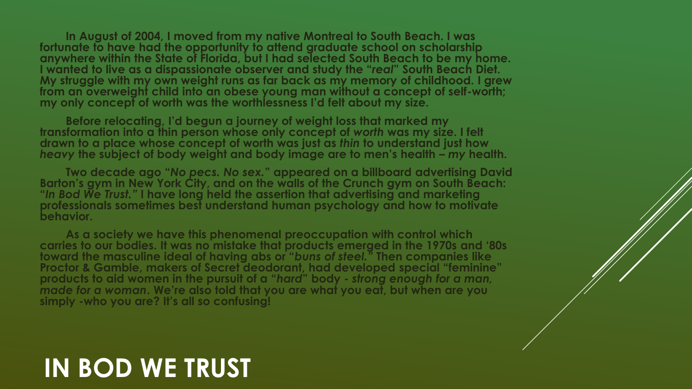**In August of 2004, I moved from my native Montreal to South Beach. I was fortunate to have had the opportunity to attend graduate school on scholarship anywhere within the State of Florida, but I had selected South Beach to be my home. I wanted to live as a dispassionate observer and study the "***real***" South Beach Diet. My struggle with my own weight runs as far back as my memory of childhood. I grew from an overweight child into an obese young man without a concept of self-worth; my only concept of worth was the worthlessness I'd felt about my size.** 

**Before relocating, I'd begun a journey of weight loss that marked my transformation into a thin person whose only concept of** *worth* **was my size. I felt drawn to a place whose concept of worth was just as** *thin* **to understand just how**  *heavy* **the subject of body weight and body image are to men's health –** *my* **health.**

**Two decade ago "***No pecs. No sex.***" appeared on a billboard advertising David Barton's gym in New York City, and on the walls of the Crunch gym on South Beach: "***In Bod We Trust."* **I have long held the assertion that advertising and marketing professionals sometimes best understand human psychology and how to motivate behavior.** 

**As a society we have this phenomenal preoccupation with control which carries to our bodies. It was no mistake that products emerged in the 1970s and '80s toward the masculine ideal of having abs or "***buns of steel."* **Then companies like Proctor & Gamble, makers of Secret deodorant, had developed special "feminine" products to aid women in the pursuit of a "***hard***" body -** *strong enough for a man, made for a woman***. We're also told that you are what you eat, but when are you simply -who you are? It's all so confusing!** 

# **IN BOD WE TRUST**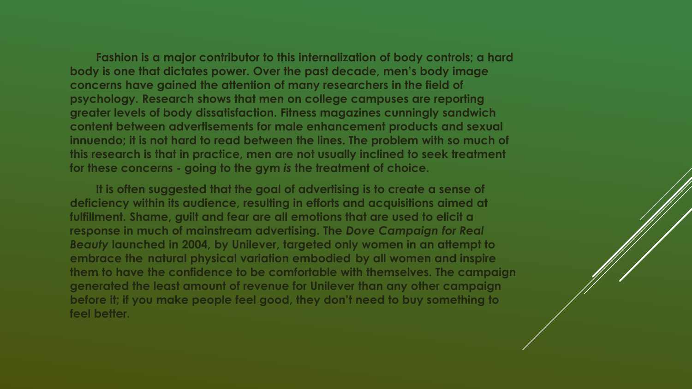**Fashion is a major contributor to this internalization of body controls; a hard body is one that dictates power. Over the past decade, men's body image concerns have gained the attention of many researchers in the field of psychology. Research shows that men on college campuses are reporting greater levels of body dissatisfaction. Fitness magazines cunningly sandwich content between advertisements for male enhancement products and sexual innuendo; it is not hard to read between the lines. The problem with so much of this research is that in practice, men are not usually inclined to seek treatment for these concerns - going to the gym** *is* **the treatment of choice.** 

**It is often suggested that the goal of advertising is to create a sense of deficiency within its audience, resulting in efforts and acquisitions aimed at fulfillment. Shame, guilt and fear are all emotions that are used to elicit a response in much of mainstream advertising. The** *Dove Campaign for Real Beauty* **launched in 2004, by Unilever, targeted only women in an attempt to embrace the natural physical variation embodied by all women and inspire them to have the confidence to be comfortable with themselves. The campaign generated the least amount of revenue for Unilever than any other campaign before it; if you make people feel good, they don't need to buy something to feel better.**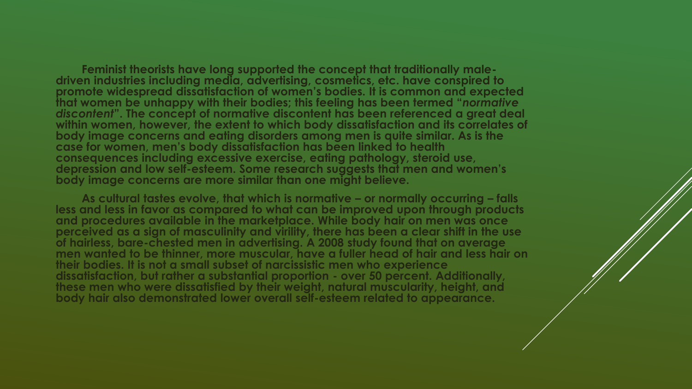**Feminist theorists have long supported the concept that traditionally maledriven industries including media, advertising, cosmetics, etc. have conspired to promote widespread dissatisfaction of women's bodies. It is common and expected that women be unhappy with their bodies; this feeling has been termed "***normative discontent***". The concept of normative discontent has been referenced a great deal within women, however, the extent to which body dissatisfaction and its correlates of body image concerns and eating disorders among men is quite similar. As is the case for women, men's body dissatisfaction has been linked to health consequences including excessive exercise, eating pathology, steroid use, depression and low self-esteem. Some research suggests that men and women's body image concerns are more similar than one might believe.** 

**As cultural tastes evolve, that which is normative – or normally occurring – falls less and less in favor as compared to what can be improved upon through products and procedures available in the marketplace. While body hair on men was once perceived as a sign of masculinity and virility, there has been a clear shift in the use of hairless, bare-chested men in advertising. A 2008 study found that on average men wanted to be thinner, more muscular, have a fuller head of hair and less hair on their bodies. It is not a small subset of narcissistic men who experience dissatisfaction, but rather a substantial proportion - over 50 percent. Additionally, these men who were dissatisfied by their weight, natural muscularity, height, and body hair also demonstrated lower overall self-esteem related to appearance.**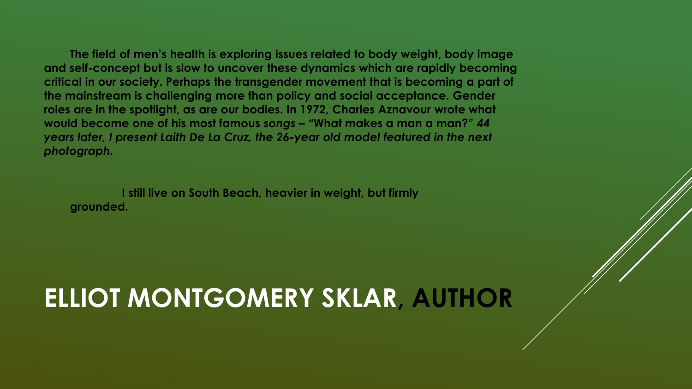**The field of men's health is exploring issues related to body weight, body image and self-concept but is slow to uncover these dynamics which are rapidly becoming critical in our society. Perhaps the transgender movement that is becoming a part of the mainstream is challenging more than policy and social acceptance. Gender roles are in the spotlight, as are our bodies. In 1972, Charles Aznavour wrote what would become one of his most famous** *songs – "***What makes a man a man?"** *44 years later, I present Laith De La Cruz, the 26-year old model featured in the next photograph.*

**I still live on South Beach, heavier in weight, but firmly grounded.** 

# **ELLIOT MONTGOMERY SKLAR, AUTHOR**